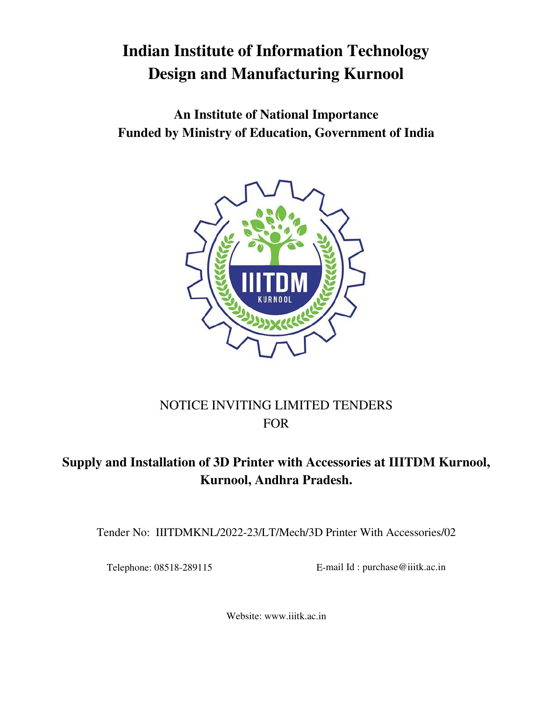# **Indian Institute of Information Technology Design and Manufacturing Kurnool**

**An Institute of National Importance Funded by Ministry of Education, Government of India** 



## NOTICE INVITING LIMITED TENDERS FOR

## **Supply and Installation of 3D Printer with Accessories at IIITDM Kurnool, Kurnool, Andhra Pradesh.**

Tender No: IIITDMKNL/2022-23/LT/Mech/3D Printer With Accessories/02

Telephone: 08518-289115 E-mail Id : purchase@iiitk.ac.in

Website: www.iiitk.ac.in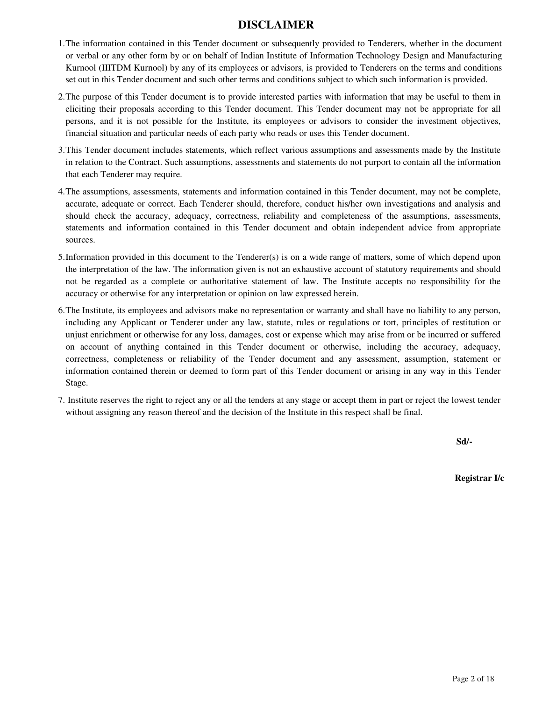## **DISCLAIMER**

- 1.The information contained in this Tender document or subsequently provided to Tenderers, whether in the document or verbal or any other form by or on behalf of Indian Institute of Information Technology Design and Manufacturing Kurnool (IIITDM Kurnool) by any of its employees or advisors, is provided to Tenderers on the terms and conditions set out in this Tender document and such other terms and conditions subject to which such information is provided.
- 2.The purpose of this Tender document is to provide interested parties with information that may be useful to them in eliciting their proposals according to this Tender document. This Tender document may not be appropriate for all persons, and it is not possible for the Institute, its employees or advisors to consider the investment objectives, financial situation and particular needs of each party who reads or uses this Tender document.
- 3.This Tender document includes statements, which reflect various assumptions and assessments made by the Institute in relation to the Contract. Such assumptions, assessments and statements do not purport to contain all the information that each Tenderer may require.
- 4.The assumptions, assessments, statements and information contained in this Tender document, may not be complete, accurate, adequate or correct. Each Tenderer should, therefore, conduct his/her own investigations and analysis and should check the accuracy, adequacy, correctness, reliability and completeness of the assumptions, assessments, statements and information contained in this Tender document and obtain independent advice from appropriate sources.
- 5.Information provided in this document to the Tenderer(s) is on a wide range of matters, some of which depend upon the interpretation of the law. The information given is not an exhaustive account of statutory requirements and should not be regarded as a complete or authoritative statement of law. The Institute accepts no responsibility for the accuracy or otherwise for any interpretation or opinion on law expressed herein.
- 6.The Institute, its employees and advisors make no representation or warranty and shall have no liability to any person, including any Applicant or Tenderer under any law, statute, rules or regulations or tort, principles of restitution or unjust enrichment or otherwise for any loss, damages, cost or expense which may arise from or be incurred or suffered on account of anything contained in this Tender document or otherwise, including the accuracy, adequacy, correctness, completeness or reliability of the Tender document and any assessment, assumption, statement or information contained therein or deemed to form part of this Tender document or arising in any way in this Tender Stage.
- 7. Institute reserves the right to reject any or all the tenders at any stage or accept them in part or reject the lowest tender without assigning any reason thereof and the decision of the Institute in this respect shall be final.

**Sd/- Sd/- Sd/- Sd/- Sd/- Sd/- Sd/- Sd/- Sd/- Sd/- Sd/- Sd/- Sd/- Sd/- Sd/- Sd/- Sd/- Sd/- Sd/- Sd/- Sd/- Sd/- Sd/- Sd/- Sd/- Sd/- Sd/- Sd/- Sd/- Sd/- Sd/- Sd/-**

**Registrar I/c**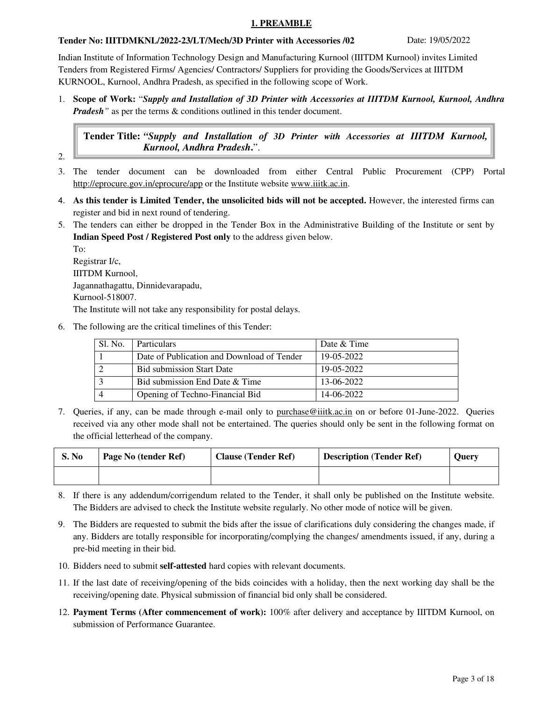#### **1. PREAMBLE**

#### **Tender No: IIITDMKNL/2022-23/LT/Mech/3D Printer with Accessories /02** Date: 19/05/2022

Indian Institute of Information Technology Design and Manufacturing Kurnool (IIITDM Kurnool) invites Limited Tenders from Registered Firms/ Agencies/ Contractors/ Suppliers for providing the Goods/Services at IIITDM KURNOOL, Kurnool, Andhra Pradesh, as specified in the following scope of Work.

1. **Scope of Work:** "*Supply and Installation of 3D Printer with Accessories at IIITDM Kurnool, Kurnool, Andhra Pradesh*<sup>"</sup> as per the terms & conditions outlined in this tender document.

**Tender Title:** *"Supply and Installation of 3D Printer with Accessories at IIITDM Kurnool, Kurnool, Andhra Pradesh***.**".

- 2.
- 3. The tender document can be downloaded from either Central Public Procurement (CPP) Portal http://eprocure.gov.in/eprocure/app or the Institute website www.iiitk.ac.in.
- 4. **As this tender is Limited Tender, the unsolicited bids will not be accepted.** However, the interested firms can register and bid in next round of tendering.
- 5. The tenders can either be dropped in the Tender Box in the Administrative Building of the Institute or sent by **Indian Speed Post / Registered Post only** to the address given below.

To: Registrar I/c, IIITDM Kurnool, Jagannathagattu, Dinnidevarapadu, Kurnool-518007. The Institute will not take any responsibility for postal delays.

6. The following are the critical timelines of this Tender:

| Sl. No. | <b>Particulars</b>                         | Date & Time |
|---------|--------------------------------------------|-------------|
|         | Date of Publication and Download of Tender | 19-05-2022  |
|         | <b>Bid submission Start Date</b>           | 19-05-2022  |
|         | Bid submission End Date & Time             | 13-06-2022  |
|         | Opening of Techno-Financial Bid            | 14-06-2022  |

7. Queries, if any, can be made through e-mail only to purchase @iiitk.ac.in on or before 01-June-2022. Queries received via any other mode shall not be entertained. The queries should only be sent in the following format on the official letterhead of the company.

| S. No | Page No (tender Ref) | <b>Clause (Tender Ref)</b> | <b>Description (Tender Ref)</b> | Ouerv |
|-------|----------------------|----------------------------|---------------------------------|-------|
|       |                      |                            |                                 |       |

- 8. If there is any addendum/corrigendum related to the Tender, it shall only be published on the Institute website. The Bidders are advised to check the Institute website regularly. No other mode of notice will be given.
- 9. The Bidders are requested to submit the bids after the issue of clarifications duly considering the changes made, if any. Bidders are totally responsible for incorporating/complying the changes/ amendments issued, if any, during a pre-bid meeting in their bid.
- 10. Bidders need to submit **self-attested** hard copies with relevant documents.
- 11. If the last date of receiving/opening of the bids coincides with a holiday, then the next working day shall be the receiving/opening date. Physical submission of financial bid only shall be considered.
- 12. **Payment Terms (After commencement of work):** 100% after delivery and acceptance by IIITDM Kurnool, on submission of Performance Guarantee.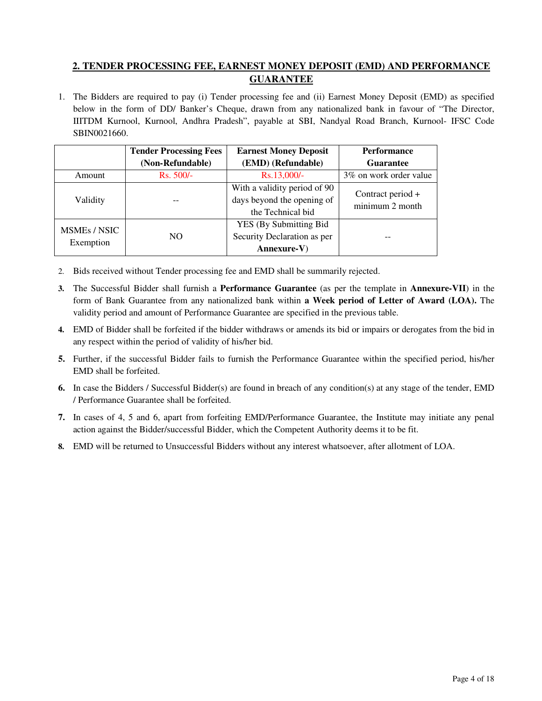## **2. TENDER PROCESSING FEE, EARNEST MONEY DEPOSIT (EMD) AND PERFORMANCE GUARANTEE**

1. The Bidders are required to pay (i) Tender processing fee and (ii) Earnest Money Deposit (EMD) as specified below in the form of DD/ Banker's Cheque, drawn from any nationalized bank in favour of "The Director, IIITDM Kurnool, Kurnool, Andhra Pradesh", payable at SBI, Nandyal Road Branch, Kurnool- IFSC Code SBIN0021660.

|              | <b>Tender Processing Fees</b> | <b>Earnest Money Deposit</b>   | <b>Performance</b>      |
|--------------|-------------------------------|--------------------------------|-------------------------|
|              | (Non-Refundable)              | (EMD) (Refundable)             | Guarantee               |
| Amount       | Rs. 500/-                     | Rs.13,000/-                    | 3\% on work order value |
|              |                               | With a validity period of 90   | Contract period +       |
| Validity     |                               | days beyond the opening of     | minimum 2 month         |
|              |                               | the Technical bid              |                         |
| MSMEs / NSIC |                               | <b>YES</b> (By Submitting Bid) |                         |
|              | NO.                           | Security Declaration as per    |                         |
| Exemption    |                               | $Annexure-V)$                  |                         |

- 2. Bids received without Tender processing fee and EMD shall be summarily rejected.
- **3.** The Successful Bidder shall furnish a **Performance Guarantee** (as per the template in **Annexure-VII**) in the form of Bank Guarantee from any nationalized bank within **a Week period of Letter of Award (LOA).** The validity period and amount of Performance Guarantee are specified in the previous table.
- **4.** EMD of Bidder shall be forfeited if the bidder withdraws or amends its bid or impairs or derogates from the bid in any respect within the period of validity of his/her bid.
- **5.** Further, if the successful Bidder fails to furnish the Performance Guarantee within the specified period, his/her EMD shall be forfeited.
- **6.** In case the Bidders / Successful Bidder(s) are found in breach of any condition(s) at any stage of the tender, EMD / Performance Guarantee shall be forfeited.
- **7.** In cases of 4, 5 and 6, apart from forfeiting EMD/Performance Guarantee, the Institute may initiate any penal action against the Bidder/successful Bidder, which the Competent Authority deems it to be fit.
- **8.** EMD will be returned to Unsuccessful Bidders without any interest whatsoever, after allotment of LOA.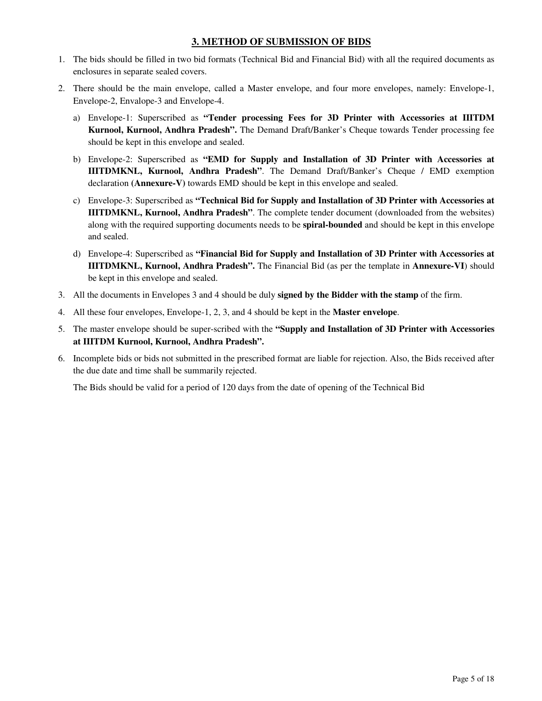## **3. METHOD OF SUBMISSION OF BIDS**

- 1. The bids should be filled in two bid formats (Technical Bid and Financial Bid) with all the required documents as enclosures in separate sealed covers.
- 2. There should be the main envelope, called a Master envelope, and four more envelopes, namely: Envelope-1, Envelope-2, Envalope-3 and Envelope-4.
	- a) Envelope-1: Superscribed as **"Tender processing Fees for 3D Printer with Accessories at IIITDM Kurnool, Kurnool, Andhra Pradesh".** The Demand Draft/Banker's Cheque towards Tender processing fee should be kept in this envelope and sealed.
	- b) Envelope-2: Superscribed as **"EMD for Supply and Installation of 3D Printer with Accessories at IIITDMKNL, Kurnool, Andhra Pradesh"**. The Demand Draft/Banker's Cheque / EMD exemption declaration **(Annexure-V)** towards EMD should be kept in this envelope and sealed.
	- c) Envelope-3: Superscribed as **"Technical Bid for Supply and Installation of 3D Printer with Accessories at IIITDMKNL, Kurnool, Andhra Pradesh"**. The complete tender document (downloaded from the websites) along with the required supporting documents needs to be **spiral-bounded** and should be kept in this envelope and sealed.
	- d) Envelope-4: Superscribed as **"Financial Bid for Supply and Installation of 3D Printer with Accessories at IIITDMKNL, Kurnool, Andhra Pradesh".** The Financial Bid (as per the template in **Annexure-VI**) should be kept in this envelope and sealed.
- 3. All the documents in Envelopes 3 and 4 should be duly **signed by the Bidder with the stamp** of the firm.
- 4. All these four envelopes, Envelope-1, 2, 3, and 4 should be kept in the **Master envelope**.
- 5. The master envelope should be super-scribed with the **"Supply and Installation of 3D Printer with Accessories at IIITDM Kurnool, Kurnool, Andhra Pradesh".**
- 6. Incomplete bids or bids not submitted in the prescribed format are liable for rejection. Also, the Bids received after the due date and time shall be summarily rejected.

The Bids should be valid for a period of 120 days from the date of opening of the Technical Bid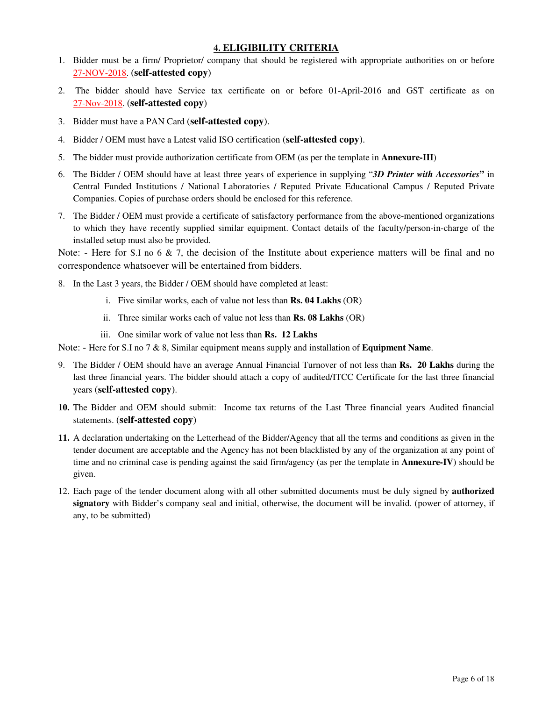## **4. ELIGIBILITY CRITERIA**

- 1. Bidder must be a firm/ Proprietor/ company that should be registered with appropriate authorities on or before 27-NOV-2018. (**self-attested copy**)
- 2. The bidder should have Service tax certificate on or before 01-April-2016 and GST certificate as on 27-Nov-2018. (**self-attested copy**)
- 3. Bidder must have a PAN Card (**self-attested copy**).
- 4. Bidder / OEM must have a Latest valid ISO certification (**self-attested copy**).
- 5. The bidder must provide authorization certificate from OEM (as per the template in **Annexure-III**)
- 6. The Bidder / OEM should have at least three years of experience in supplying "*3D Printer with Accessories***"** in Central Funded Institutions / National Laboratories / Reputed Private Educational Campus / Reputed Private Companies. Copies of purchase orders should be enclosed for this reference.
- 7. The Bidder / OEM must provide a certificate of satisfactory performance from the above-mentioned organizations to which they have recently supplied similar equipment. Contact details of the faculty/person-in-charge of the installed setup must also be provided.

Note: - Here for S.I no 6  $\&$  7, the decision of the Institute about experience matters will be final and no correspondence whatsoever will be entertained from bidders.

- 8. In the Last 3 years, the Bidder / OEM should have completed at least:
	- i. Five similar works, each of value not less than **Rs. 04 Lakhs** (OR)
	- ii. Three similar works each of value not less than **Rs. 08 Lakhs** (OR)
	- iii. One similar work of value not less than **Rs. 12 Lakhs**

Note: - Here for S.I no 7 & 8, Similar equipment means supply and installation of **Equipment Name**.

- 9. The Bidder / OEM should have an average Annual Financial Turnover of not less than **Rs. 20 Lakhs** during the last three financial years. The bidder should attach a copy of audited/ITCC Certificate for the last three financial years (**self-attested copy**).
- **10.** The Bidder and OEM should submit: Income tax returns of the Last Three financial years Audited financial statements. (**self-attested copy**)
- **11.** A declaration undertaking on the Letterhead of the Bidder/Agency that all the terms and conditions as given in the tender document are acceptable and the Agency has not been blacklisted by any of the organization at any point of time and no criminal case is pending against the said firm/agency (as per the template in **Annexure-IV**) should be given.
- 12. Each page of the tender document along with all other submitted documents must be duly signed by **authorized signatory** with Bidder's company seal and initial, otherwise, the document will be invalid. (power of attorney, if any, to be submitted)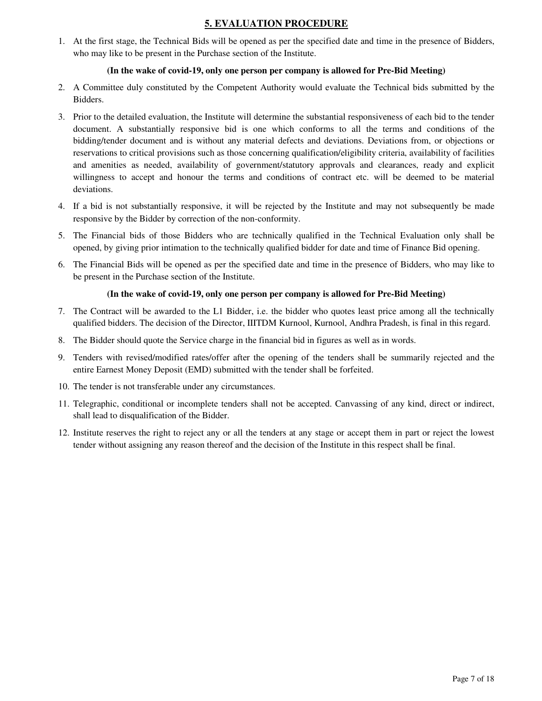## **5. EVALUATION PROCEDURE**

1. At the first stage, the Technical Bids will be opened as per the specified date and time in the presence of Bidders, who may like to be present in the Purchase section of the Institute.

#### **(In the wake of covid-19, only one person per company is allowed for Pre-Bid Meeting)**

- 2. A Committee duly constituted by the Competent Authority would evaluate the Technical bids submitted by the Bidders.
- 3. Prior to the detailed evaluation, the Institute will determine the substantial responsiveness of each bid to the tender document. A substantially responsive bid is one which conforms to all the terms and conditions of the bidding/tender document and is without any material defects and deviations. Deviations from, or objections or reservations to critical provisions such as those concerning qualification/eligibility criteria, availability of facilities and amenities as needed, availability of government/statutory approvals and clearances, ready and explicit willingness to accept and honour the terms and conditions of contract etc. will be deemed to be material deviations.
- 4. If a bid is not substantially responsive, it will be rejected by the Institute and may not subsequently be made responsive by the Bidder by correction of the non-conformity.
- 5. The Financial bids of those Bidders who are technically qualified in the Technical Evaluation only shall be opened, by giving prior intimation to the technically qualified bidder for date and time of Finance Bid opening.
- 6. The Financial Bids will be opened as per the specified date and time in the presence of Bidders, who may like to be present in the Purchase section of the Institute.

#### **(In the wake of covid-19, only one person per company is allowed for Pre-Bid Meeting)**

- 7. The Contract will be awarded to the L1 Bidder, i.e. the bidder who quotes least price among all the technically qualified bidders. The decision of the Director, IIITDM Kurnool, Kurnool, Andhra Pradesh, is final in this regard.
- 8. The Bidder should quote the Service charge in the financial bid in figures as well as in words.
- 9. Tenders with revised/modified rates/offer after the opening of the tenders shall be summarily rejected and the entire Earnest Money Deposit (EMD) submitted with the tender shall be forfeited.
- 10. The tender is not transferable under any circumstances.
- 11. Telegraphic, conditional or incomplete tenders shall not be accepted. Canvassing of any kind, direct or indirect, shall lead to disqualification of the Bidder.
- 12. Institute reserves the right to reject any or all the tenders at any stage or accept them in part or reject the lowest tender without assigning any reason thereof and the decision of the Institute in this respect shall be final.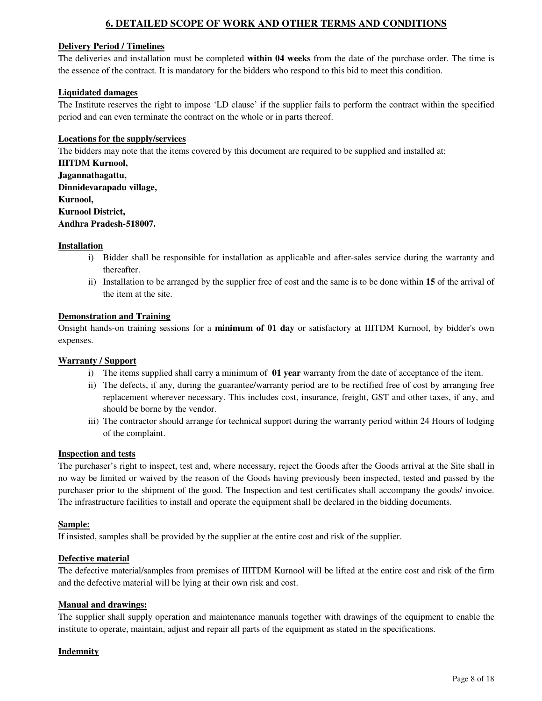## **6. DETAILED SCOPE OF WORK AND OTHER TERMS AND CONDITIONS**

#### **Delivery Period / Timelines**

The deliveries and installation must be completed **within 04 weeks** from the date of the purchase order. The time is the essence of the contract. It is mandatory for the bidders who respond to this bid to meet this condition.

#### **Liquidated damages**

The Institute reserves the right to impose 'LD clause' if the supplier fails to perform the contract within the specified period and can even terminate the contract on the whole or in parts thereof.

#### **Locations for the supply/services**

The bidders may note that the items covered by this document are required to be supplied and installed at:

**IIITDM Kurnool, Jagannathagattu, Dinnidevarapadu village, Kurnool, Kurnool District, Andhra Pradesh-518007.** 

#### **Installation**

- i) Bidder shall be responsible for installation as applicable and after-sales service during the warranty and thereafter.
- ii) Installation to be arranged by the supplier free of cost and the same is to be done within **15** of the arrival of the item at the site.

#### **Demonstration and Training**

Onsight hands-on training sessions for a **minimum of 01 day** or satisfactory at IIITDM Kurnool, by bidder's own expenses.

#### **Warranty / Support**

- i) The items supplied shall carry a minimum of **01 year** warranty from the date of acceptance of the item.
- ii) The defects, if any, during the guarantee/warranty period are to be rectified free of cost by arranging free replacement wherever necessary. This includes cost, insurance, freight, GST and other taxes, if any, and should be borne by the vendor.
- iii) The contractor should arrange for technical support during the warranty period within 24 Hours of lodging of the complaint.

#### **Inspection and tests**

The purchaser's right to inspect, test and, where necessary, reject the Goods after the Goods arrival at the Site shall in no way be limited or waived by the reason of the Goods having previously been inspected, tested and passed by the purchaser prior to the shipment of the good. The Inspection and test certificates shall accompany the goods/ invoice. The infrastructure facilities to install and operate the equipment shall be declared in the bidding documents.

#### **Sample:**

If insisted, samples shall be provided by the supplier at the entire cost and risk of the supplier.

#### **Defective material**

The defective material/samples from premises of IIITDM Kurnool will be lifted at the entire cost and risk of the firm and the defective material will be lying at their own risk and cost.

#### **Manual and drawings:**

The supplier shall supply operation and maintenance manuals together with drawings of the equipment to enable the institute to operate, maintain, adjust and repair all parts of the equipment as stated in the specifications.

#### **Indemnity**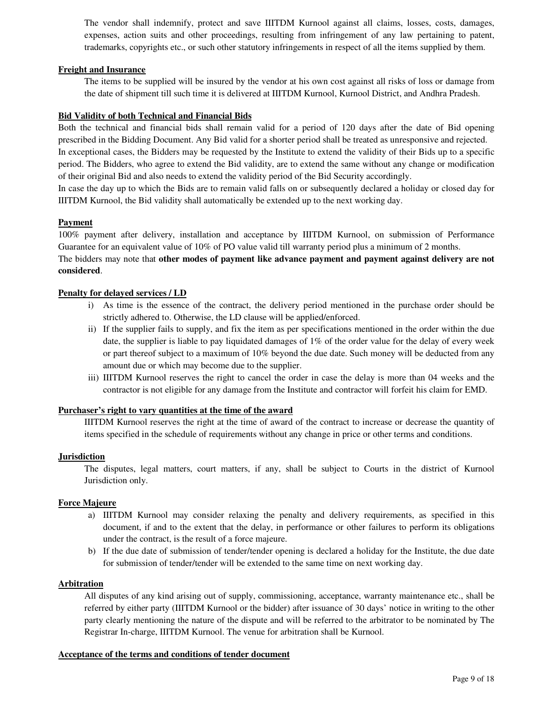The vendor shall indemnify, protect and save IIITDM Kurnool against all claims, losses, costs, damages, expenses, action suits and other proceedings, resulting from infringement of any law pertaining to patent, trademarks, copyrights etc., or such other statutory infringements in respect of all the items supplied by them.

#### **Freight and Insurance**

The items to be supplied will be insured by the vendor at his own cost against all risks of loss or damage from the date of shipment till such time it is delivered at IIITDM Kurnool, Kurnool District, and Andhra Pradesh.

#### **Bid Validity of both Technical and Financial Bids**

Both the technical and financial bids shall remain valid for a period of 120 days after the date of Bid opening prescribed in the Bidding Document. Any Bid valid for a shorter period shall be treated as unresponsive and rejected. In exceptional cases, the Bidders may be requested by the Institute to extend the validity of their Bids up to a specific period. The Bidders, who agree to extend the Bid validity, are to extend the same without any change or modification of their original Bid and also needs to extend the validity period of the Bid Security accordingly.

In case the day up to which the Bids are to remain valid falls on or subsequently declared a holiday or closed day for IIITDM Kurnool, the Bid validity shall automatically be extended up to the next working day.

#### **Payment**

100% payment after delivery, installation and acceptance by IIITDM Kurnool, on submission of Performance Guarantee for an equivalent value of 10% of PO value valid till warranty period plus a minimum of 2 months.

## The bidders may note that **other modes of payment like advance payment and payment against delivery are not considered**.

#### **Penalty for delayed services / LD**

- i) As time is the essence of the contract, the delivery period mentioned in the purchase order should be strictly adhered to. Otherwise, the LD clause will be applied/enforced.
- ii) If the supplier fails to supply, and fix the item as per specifications mentioned in the order within the due date, the supplier is liable to pay liquidated damages of 1% of the order value for the delay of every week or part thereof subject to a maximum of 10% beyond the due date. Such money will be deducted from any amount due or which may become due to the supplier.
- iii) IIITDM Kurnool reserves the right to cancel the order in case the delay is more than 04 weeks and the contractor is not eligible for any damage from the Institute and contractor will forfeit his claim for EMD.

#### **Purchaser's right to vary quantities at the time of the award**

IIITDM Kurnool reserves the right at the time of award of the contract to increase or decrease the quantity of items specified in the schedule of requirements without any change in price or other terms and conditions.

#### **Jurisdiction**

The disputes, legal matters, court matters, if any, shall be subject to Courts in the district of Kurnool Jurisdiction only.

#### **Force Majeure**

- a) IIITDM Kurnool may consider relaxing the penalty and delivery requirements, as specified in this document, if and to the extent that the delay, in performance or other failures to perform its obligations under the contract, is the result of a force majeure.
- b) If the due date of submission of tender/tender opening is declared a holiday for the Institute, the due date for submission of tender/tender will be extended to the same time on next working day.

#### **Arbitration**

All disputes of any kind arising out of supply, commissioning, acceptance, warranty maintenance etc., shall be referred by either party (IIITDM Kurnool or the bidder) after issuance of 30 days' notice in writing to the other party clearly mentioning the nature of the dispute and will be referred to the arbitrator to be nominated by The Registrar In-charge, IIITDM Kurnool. The venue for arbitration shall be Kurnool.

#### **Acceptance of the terms and conditions of tender document**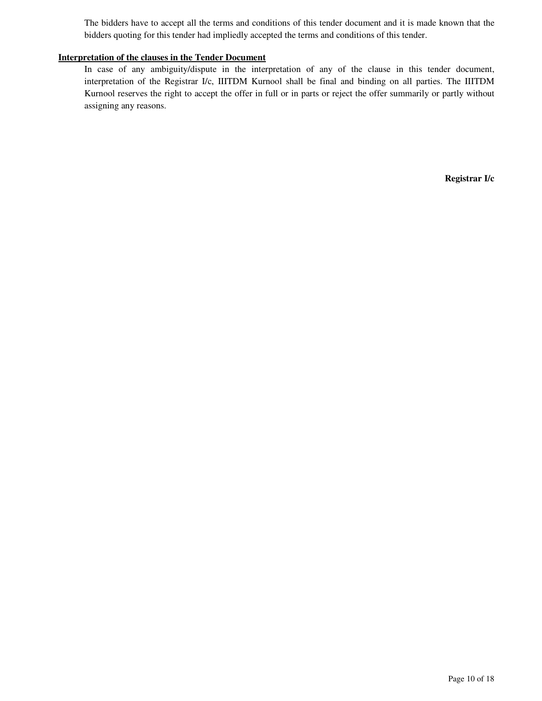The bidders have to accept all the terms and conditions of this tender document and it is made known that the bidders quoting for this tender had impliedly accepted the terms and conditions of this tender.

#### **Interpretation of the clauses in the Tender Document**

In case of any ambiguity/dispute in the interpretation of any of the clause in this tender document, interpretation of the Registrar I/c, IIITDM Kurnool shall be final and binding on all parties. The IIITDM Kurnool reserves the right to accept the offer in full or in parts or reject the offer summarily or partly without assigning any reasons.

**Registrar I/c**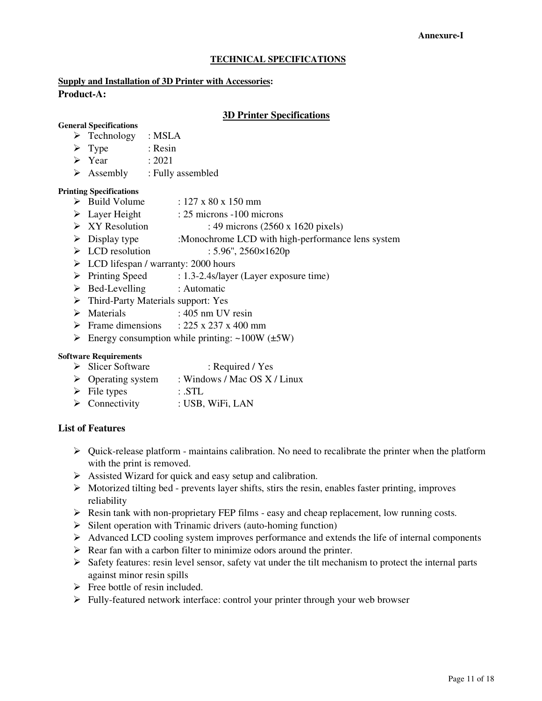#### **Annexure-I**

#### **TECHNICAL SPECIFICATIONS**

#### **Supply and Installation of 3D Printer with Accessories:**

#### **Product-A:**

#### **3D Printer Specifications**

#### **General Specifications**

- > Technology : MSLA
- $\triangleright$  Type : Resin
- Year : 2021
- $\triangleright$  Assembly : Fully assembled

#### **Printing Specifications**

- $\triangleright$  Build Volume : 127 x 80 x 150 mm
- Layer Height : 25 microns -100 microns
- $\triangleright$  XY Resolution : 49 microns (2560 x 1620 pixels)
- > Display type :Monochrome LCD with high-performance lens system
- $\triangleright$  LCD resolution : 5.96", 2560×1620p
- $\triangleright$  LCD lifespan / warranty: 2000 hours
- Printing Speed : 1.3-2.4s/layer (Layer exposure time)
- $\triangleright$  Bed-Levelling : Automatic
- > Third-Party Materials support: Yes
- Materials : 405 nm UV resin
- Frame dimensions :  $225 \times 237 \times 400$  mm
- Energy consumption while printing:  $\sim 100W$  ( $\pm 5W$ )

#### **Software Requirements**

- Slicer Software : Required / Yes
- Operating system : Windows / Mac OS X / Linux
- $\triangleright$  File types : .STL
- $\triangleright$  Connectivity : USB, WiFi, LAN

## **List of Features**

- $\triangleright$  Ouick-release platform maintains calibration. No need to recalibrate the printer when the platform with the print is removed.
- $\triangleright$  Assisted Wizard for quick and easy setup and calibration.
- $\triangleright$  Motorized tilting bed prevents layer shifts, stirs the resin, enables faster printing, improves reliability
- $\triangleright$  Resin tank with non-proprietary FEP films easy and cheap replacement, low running costs.
- $\triangleright$  Silent operation with Trinamic drivers (auto-homing function)
- $\triangleright$  Advanced LCD cooling system improves performance and extends the life of internal components
- $\triangleright$  Rear fan with a carbon filter to minimize odors around the printer.
- $\triangleright$  Safety features: resin level sensor, safety vat under the tilt mechanism to protect the internal parts against minor resin spills
- $\triangleright$  Free bottle of resin included.
- $\triangleright$  Fully-featured network interface: control your printer through your web browser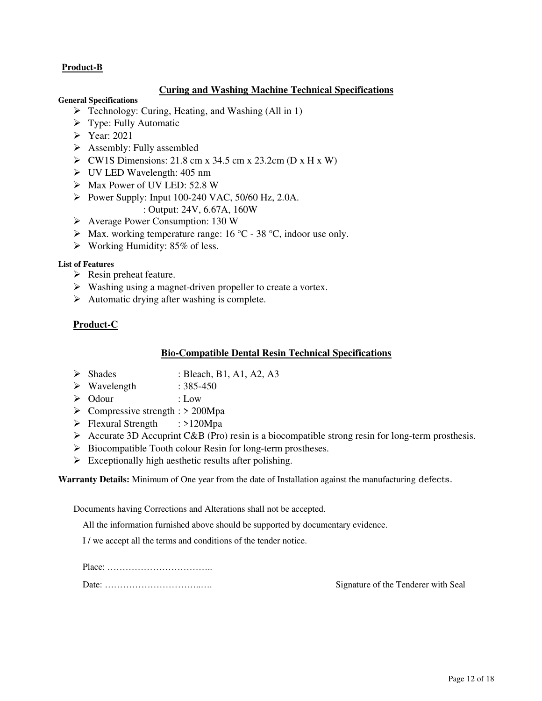## **Product-B**

#### **Curing and Washing Machine Technical Specifications**

#### **General Specifications**

- $\triangleright$  Technology: Curing, Heating, and Washing (All in 1)
- $\triangleright$  Type: Fully Automatic
- Year: 2021
- $\triangleright$  Assembly: Fully assembled
- $\triangleright$  CW1S Dimensions: 21.8 cm x 34.5 cm x 23.2cm (D x H x W)
- UV LED Wavelength: 405 nm
- Max Power of UV LED: 52.8 W
- Power Supply: Input 100-240 VAC,  $50/60$  Hz, 2.0A.
	- : Output: 24V, 6.67A, 160W
- Average Power Consumption: 130 W
- $\triangleright$  Max. working temperature range: 16 °C 38 °C, indoor use only.
- $\triangleright$  Working Humidity: 85% of less.

#### **List of Features**

- $\triangleright$  Resin preheat feature.
- $\triangleright$  Washing using a magnet-driven propeller to create a vortex.
- $\triangleright$  Automatic drying after washing is complete.

#### **Product-C**

#### **Bio-Compatible Dental Resin Technical Specifications**

- $\triangleright$  Shades : Bleach, B1, A1, A2, A3
- $\triangleright$  Wavelength : 385-450
- Odour : Low
- $\triangleright$  Compressive strength :  $> 200$ Mpa
- > Flexural Strength : >120Mpa
- Accurate 3D Accuprint C&B (Pro) resin is a biocompatible strong resin for long-term prosthesis.
- $\triangleright$  Biocompatible Tooth colour Resin for long-term prostheses.
- $\triangleright$  Exceptionally high aesthetic results after polishing.

**Warranty Details:** Minimum of One year from the date of Installation against the manufacturing defects.

Documents having Corrections and Alterations shall not be accepted.

All the information furnished above should be supported by documentary evidence.

I / we accept all the terms and conditions of the tender notice.

Place: ……………………………..

Date: …………………………..…. Signature of the Tenderer with Seal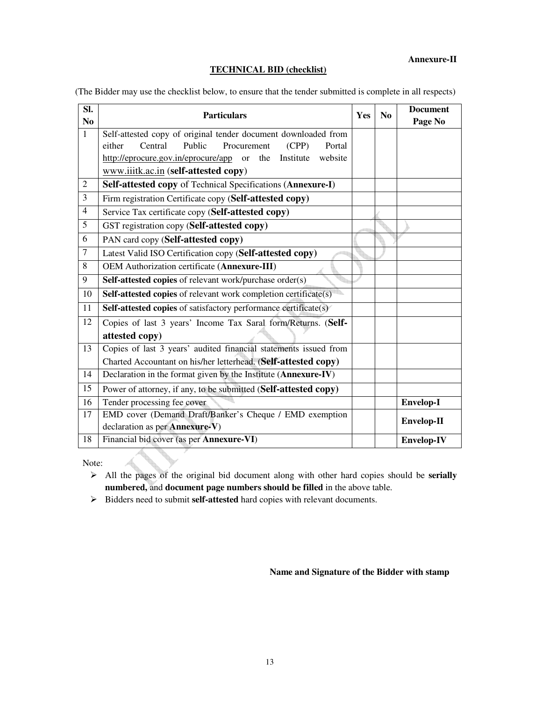#### **Annexure-II**

#### **TECHNICAL BID (checklist)**

(The Bidder may use the checklist below, to ensure that the tender submitted is complete in all respects)

| SI.<br>N <sub>0</sub> | <b>Particulars</b>                                                                  | Yes | No | <b>Document</b><br>Page No |
|-----------------------|-------------------------------------------------------------------------------------|-----|----|----------------------------|
| $\mathbf{1}$          | Self-attested copy of original tender document downloaded from                      |     |    |                            |
|                       | Central<br>Public<br>Procurement<br>either<br>(CPP)<br>Portal                       |     |    |                            |
|                       | http://eprocure.gov.in/eprocure/app<br>website<br>the<br>Institute<br><sub>or</sub> |     |    |                            |
|                       | www.iiitk.ac.in (self-attested copy)                                                |     |    |                            |
| $\overline{2}$        | Self-attested copy of Technical Specifications (Annexure-I)                         |     |    |                            |
| $\overline{3}$        | Firm registration Certificate copy (Self-attested copy)                             |     |    |                            |
| $\overline{4}$        | Service Tax certificate copy (Self-attested copy)                                   |     |    |                            |
| 5                     | GST registration copy (Self-attested copy)                                          |     |    |                            |
| 6                     | PAN card copy (Self-attested copy)                                                  |     |    |                            |
| $\overline{7}$        | Latest Valid ISO Certification copy (Self-attested copy)                            |     |    |                            |
| 8                     | OEM Authorization certificate (Annexure-III)                                        |     |    |                            |
| $\overline{9}$        | Self-attested copies of relevant work/purchase order(s)                             |     |    |                            |
| 10                    | Self-attested copies of relevant work completion certificate(s)                     |     |    |                            |
| 11                    | Self-attested copies of satisfactory performance certificate(s)                     |     |    |                            |
| 12                    | Copies of last 3 years' Income Tax Saral form/Returns. (Self-                       |     |    |                            |
|                       | attested copy)                                                                      |     |    |                            |
| 13                    | Copies of last 3 years' audited financial statements issued from                    |     |    |                            |
|                       | Charted Accountant on his/her letterhead. (Self-attested copy)                      |     |    |                            |
| 14                    | Declaration in the format given by the Institute (Annexure-IV)                      |     |    |                            |
| 15                    | Power of attorney, if any, to be submitted (Self-attested copy)                     |     |    |                            |
| 16                    | Tender processing fee cover                                                         |     |    | Envelop-I                  |
| 17                    | EMD cover (Demand Draft/Banker's Cheque / EMD exemption                             |     |    | Envelop-II                 |
|                       | declaration as per Annexure-V)                                                      |     |    |                            |
| 18                    | Financial bid cover (as per Annexure-VI)                                            |     |    | <b>Envelop-IV</b>          |

Note:

- All the pages of the original bid document along with other hard copies should be **serially numbered,** and **document page numbers should be filled** in the above table.
- Bidders need to submit **self-attested** hard copies with relevant documents.

**Name and Signature of the Bidder with stamp**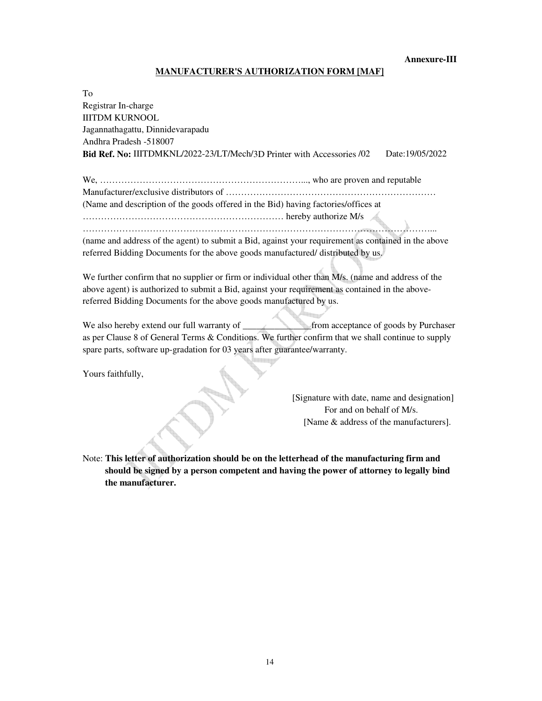**Annexure-III** 

#### **MANUFACTURER'S AUTHORIZATION FORM [MAF]**

| To                                                                                                  |  |
|-----------------------------------------------------------------------------------------------------|--|
| Registrar In-charge                                                                                 |  |
| <b>IIITDM KURNOOL</b>                                                                               |  |
| Jagannathagattu, Dinnidevarapadu                                                                    |  |
| Andhra Pradesh -518007                                                                              |  |
| Bid Ref. No: IIITDMKNL/2022-23/LT/Mech/3D Printer with Accessories /02<br>Date: 19/05/2022          |  |
|                                                                                                     |  |
|                                                                                                     |  |
| (Name and description of the goods offered in the Bid) having factories/offices at                  |  |
|                                                                                                     |  |
|                                                                                                     |  |
| (name and address of the agent) to submit a Bid, against your requirement as contained in the above |  |
| referred Bidding Documents for the above goods manufactured/ distributed by us.                     |  |
|                                                                                                     |  |
| We further confirm that no supplier or firm or individual other than M/s. (name and address of the  |  |
| above agent) is authorized to submit a Bid, against your requirement as contained in the above-     |  |
| referred Bidding Documents for the above goods manufactured by us.                                  |  |
|                                                                                                     |  |

We also hereby extend our full warranty of **we also hereby extend our full warranty of from acceptance of goods by Purchaser** as per Clause 8 of General Terms & Conditions. We further confirm that we shall continue to supply spare parts, software up-gradation for 03 years after guarantee/warranty.

Yours faithfully,

[Signature with date, name and designation] For and on behalf of M/s. [Name & address of the manufacturers].

Note: **This letter of authorization should be on the letterhead of the manufacturing firm and should be signed by a person competent and having the power of attorney to legally bind the manufacturer.**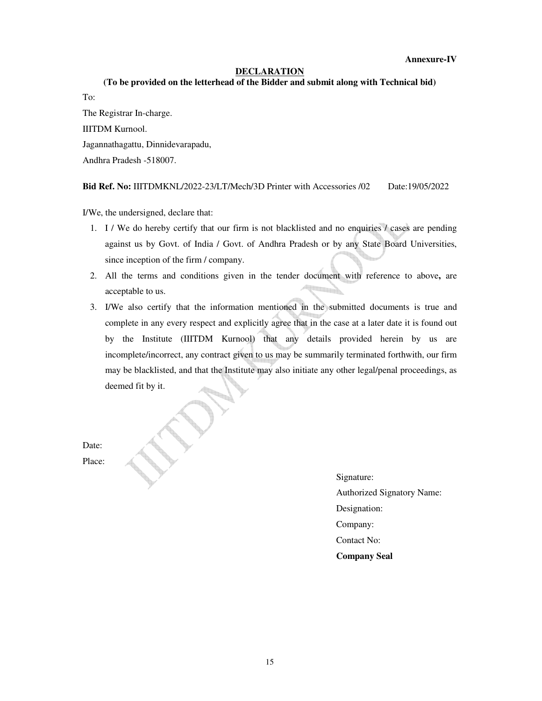#### **Annexure-IV**

#### **DECLARATION**

#### **(To be provided on the letterhead of the Bidder and submit along with Technical bid)**

To:

The Registrar In-charge. IIITDM Kurnool. Jagannathagattu, Dinnidevarapadu, Andhra Pradesh -518007.

#### **Bid Ref. No:** IIITDMKNL/2022-23/LT/Mech/3D Printer with Accessories /02 Date:19/05/2022

I/We, the undersigned, declare that:

- 1. I / We do hereby certify that our firm is not blacklisted and no enquiries  $\ell$  cases are pending against us by Govt. of India / Govt. of Andhra Pradesh or by any State Board Universities, since inception of the firm / company.
- 2. All the terms and conditions given in the tender document with reference to above**,** are acceptable to us.
- 3. I/We also certify that the information mentioned in the submitted documents is true and complete in any every respect and explicitly agree that in the case at a later date it is found out by the Institute (IIITDM Kurnool) that any details provided herein by us are incomplete/incorrect, any contract given to us may be summarily terminated forthwith, our firm may be blacklisted, and that the Institute may also initiate any other legal/penal proceedings, as deemed fit by it.

Date: Place:

> Signature: Authorized Signatory Name: Designation: Company: Contact No: **Company Seal**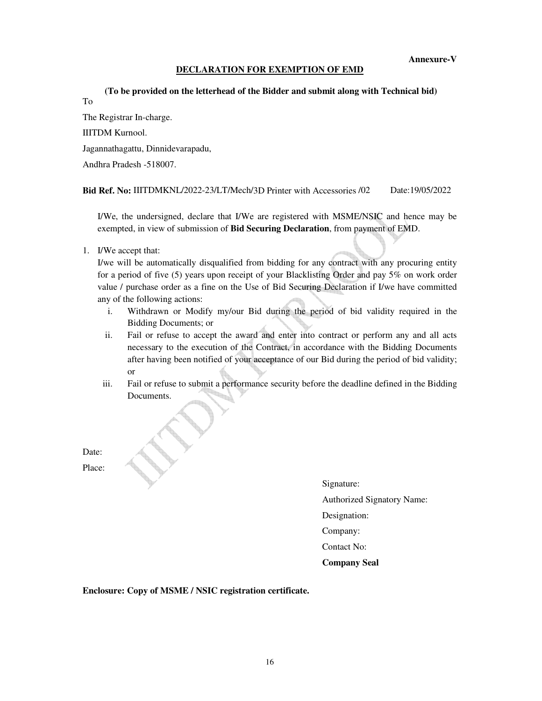#### **DECLARATION FOR EXEMPTION OF EMD**

 **(To be provided on the letterhead of the Bidder and submit along with Technical bid)** To

The Registrar In-charge. IIITDM Kurnool. Jagannathagattu, Dinnidevarapadu, Andhra Pradesh -518007.

**Bid Ref. No:** IIITDMKNL/2022-23/LT/Mech/3D Printer with Accessories /02 Date:19/05/2022

I/We, the undersigned, declare that I/We are registered with MSME/NSIC and hence may be exempted, in view of submission of **Bid Securing Declaration**, from payment of EMD.

1. I/We accept that:

I/we will be automatically disqualified from bidding for any contract with any procuring entity for a period of five (5) years upon receipt of your Blacklisting Order and pay 5% on work order value / purchase order as a fine on the Use of Bid Securing Declaration if I/we have committed any of the following actions:

- i. Withdrawn or Modify my/our Bid during the period of bid validity required in the Bidding Documents; or
- ii. Fail or refuse to accept the award and enter into contract or perform any and all acts necessary to the execution of the Contract, in accordance with the Bidding Documents after having been notified of your acceptance of our Bid during the period of bid validity; or
- iii. Fail or refuse to submit a performance security before the deadline defined in the Bidding Documents.

Date: Place:

> Signature: Authorized Signatory Name: Designation: Company: Contact No: **Company Seal**

**Enclosure: Copy of MSME / NSIC registration certificate.**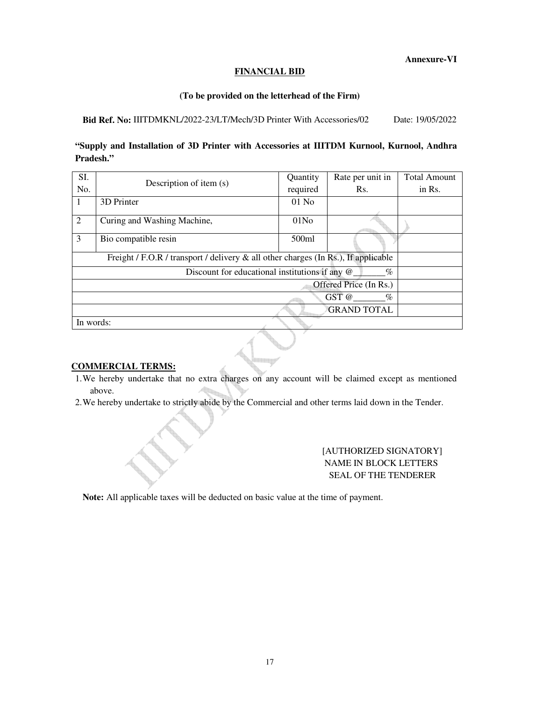#### **Annexure-VI**

#### **FINANCIAL BID**

#### **(To be provided on the letterhead of the Firm)**

#### Bid Ref. No: IIITDMKNL/2022-23/LT/Mech/3D Printer With Accessories/02 Date: 19/05/2022

## **"Supply and Installation of 3D Printer with Accessories at IIITDM Kurnool, Kurnool, Andhra Pradesh."**

| SI.                                                                                   |                             | <b>Ouantity</b>  | Rate per unit in | <b>Total Amount</b> |  |  |
|---------------------------------------------------------------------------------------|-----------------------------|------------------|------------------|---------------------|--|--|
| No.                                                                                   | Description of item (s)     | required         | Rs.              | in Rs.              |  |  |
| 1                                                                                     | 3D Printer                  | $01$ No          |                  |                     |  |  |
| 2                                                                                     | Curing and Washing Machine, | 01N <sub>0</sub> |                  |                     |  |  |
| 3                                                                                     | Bio compatible resin        | 500ml            |                  |                     |  |  |
| Freight / F.O.R / transport / delivery $\&$ all other charges (In Rs.), If applicable |                             |                  |                  |                     |  |  |
| Discount for educational institutions if any @<br>$\%$                                |                             |                  |                  |                     |  |  |
| Offered Price (In Rs.)                                                                |                             |                  |                  |                     |  |  |
| $GST$ @<br>$\%$                                                                       |                             |                  |                  |                     |  |  |
|                                                                                       | <b>GRAND TOTAL</b>          |                  |                  |                     |  |  |
| In words:                                                                             |                             |                  |                  |                     |  |  |

#### **COMMERCIAL TERMS:**

- 1.We hereby undertake that no extra charges on any account will be claimed except as mentioned above.
- 2.We hereby undertake to strictly abide by the Commercial and other terms laid down in the Tender.

### [AUTHORIZED SIGNATORY] NAME IN BLOCK LETTERS SEAL OF THE TENDERER

**Note:** All applicable taxes will be deducted on basic value at the time of payment.